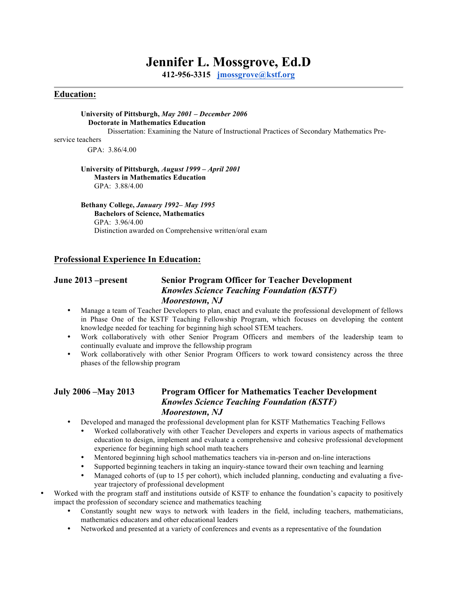# **Jennifer L. Mossgrove, Ed.D**

**412-956-3315 jmossgrove@kstf.org**

#### **Education:**

#### **University of Pittsburgh,** *May 2001 – December 2006*  **Doctorate in Mathematics Education**

Dissertation: Examining the Nature of Instructional Practices of Secondary Mathematics Pre-

service teachers

GPA: 3.86/4.00

#### **University of Pittsburgh***, August 1999 – April 2001* **Masters in Mathematics Education** GPA: 3.88/4.00

#### **Bethany College,** *January 1992– May 1995*

**Bachelors of Science, Mathematics** GPA: 3.96/4.00 Distinction awarded on Comprehensive written/oral exam

#### **Professional Experience In Education:**

### **June 2013 –present Senior Program Officer for Teacher Development**  *Knowles Science Teaching Foundation (KSTF) Moorestown, NJ*

- Manage a team of Teacher Developers to plan, enact and evaluate the professional development of fellows in Phase One of the KSTF Teaching Fellowship Program, which focuses on developing the content knowledge needed for teaching for beginning high school STEM teachers.
- Work collaboratively with other Senior Program Officers and members of the leadership team to continually evaluate and improve the fellowship program
- Work collaboratively with other Senior Program Officers to work toward consistency across the three phases of the fellowship program

#### **July 2006 –May 2013 Program Officer for Mathematics Teacher Development**  *Knowles Science Teaching Foundation (KSTF) Moorestown, NJ*

- Developed and managed the professional development plan for KSTF Mathematics Teaching Fellows
	- Worked collaboratively with other Teacher Developers and experts in various aspects of mathematics education to design, implement and evaluate a comprehensive and cohesive professional development experience for beginning high school math teachers
	- Mentored beginning high school mathematics teachers via in-person and on-line interactions
	- Supported beginning teachers in taking an inquiry-stance toward their own teaching and learning
	- Managed cohorts of (up to 15 per cohort), which included planning, conducting and evaluating a fiveyear trajectory of professional development
- Worked with the program staff and institutions outside of KSTF to enhance the foundation's capacity to positively impact the profession of secondary science and mathematics teaching
	- Constantly sought new ways to network with leaders in the field, including teachers, mathematicians, mathematics educators and other educational leaders
	- Networked and presented at a variety of conferences and events as a representative of the foundation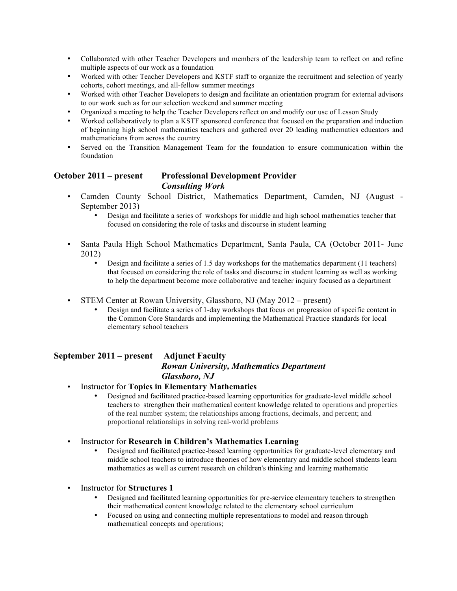- Collaborated with other Teacher Developers and members of the leadership team to reflect on and refine multiple aspects of our work as a foundation
- Worked with other Teacher Developers and KSTF staff to organize the recruitment and selection of yearly cohorts, cohort meetings, and all-fellow summer meetings
- Worked with other Teacher Developers to design and facilitate an orientation program for external advisors to our work such as for our selection weekend and summer meeting
- Organized a meeting to help the Teacher Developers reflect on and modify our use of Lesson Study
- Worked collaboratively to plan a KSTF sponsored conference that focused on the preparation and induction of beginning high school mathematics teachers and gathered over 20 leading mathematics educators and mathematicians from across the country
- Served on the Transition Management Team for the foundation to ensure communication within the foundation

## **October 2011 – present Professional Development Provider** *Consulting Work*

- Camden County School District, Mathematics Department, Camden, NJ (August September 2013)
	- Design and facilitate a series of workshops for middle and high school mathematics teacher that focused on considering the role of tasks and discourse in student learning
- Santa Paula High School Mathematics Department, Santa Paula, CA (October 2011- June 2012)
	- Design and facilitate a series of 1.5 day workshops for the mathematics department (11 teachers) that focused on considering the role of tasks and discourse in student learning as well as working to help the department become more collaborative and teacher inquiry focused as a department
- STEM Center at Rowan University, Glassboro, NJ (May 2012 present)
	- Design and facilitate a series of 1-day workshops that focus on progression of specific content in the Common Core Standards and implementing the Mathematical Practice standards for local elementary school teachers

## **September 2011 – present Adjunct Faculty**

## *Rowan University, Mathematics Department Glassboro, NJ*

- Instructor for **Topics in Elementary Mathematics** 
	- Designed and facilitated practice-based learning opportunities for graduate-level middle school teachers to strengthen their mathematical content knowledge related to operations and properties of the real number system; the relationships among fractions, decimals, and percent; and proportional relationships in solving real-world problems
- Instructor for **Research in Children's Mathematics Learning** 
	- Designed and facilitated practice-based learning opportunities for graduate-level elementary and middle school teachers to introduce theories of how elementary and middle school students learn mathematics as well as current research on children's thinking and learning mathematic
- Instructor for **Structures 1** 
	- Designed and facilitated learning opportunities for pre-service elementary teachers to strengthen their mathematical content knowledge related to the elementary school curriculum
	- Focused on using and connecting multiple representations to model and reason through mathematical concepts and operations;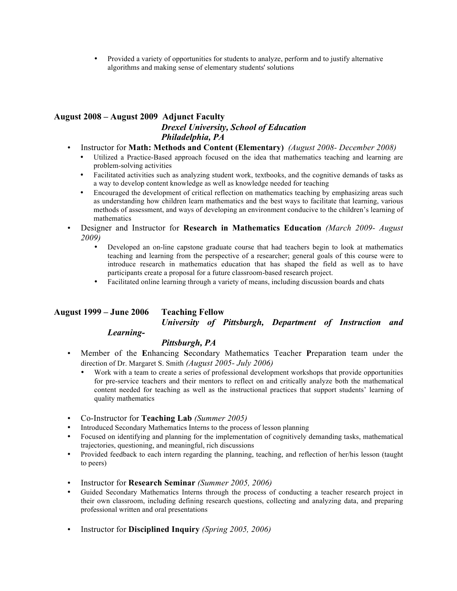• Provided a variety of opportunities for students to analyze, perform and to justify alternative algorithms and making sense of elementary students' solutions

## **August 2008 – August 2009 Adjunct Faculty** *Drexel University, School of Education Philadelphia, PA*

- Instructor for **Math: Methods and Content (Elementary)** *(August 2008- December 2008)*
	- Utilized a Practice-Based approach focused on the idea that mathematics teaching and learning are problem-solving activities
	- Facilitated activities such as analyzing student work, textbooks, and the cognitive demands of tasks as a way to develop content knowledge as well as knowledge needed for teaching
	- Encouraged the development of critical reflection on mathematics teaching by emphasizing areas such as understanding how children learn mathematics and the best ways to facilitate that learning, various methods of assessment, and ways of developing an environment conducive to the children's learning of mathematics
- Designer and Instructor for **Research in Mathematics Education** *(March 2009- August 2009)*
	- Developed an on-line capstone graduate course that had teachers begin to look at mathematics teaching and learning from the perspective of a researcher; general goals of this course were to introduce research in mathematics education that has shaped the field as well as to have participants create a proposal for a future classroom-based research project.
	- Facilitated online learning through a variety of means, including discussion boards and chats

## **August 1999 – June 2006 Teaching Fellow**

*University of Pittsburgh, Department of Instruction and* 

### *Learning-*

#### *Pittsburgh, PA*

- Member of the **E**nhancing **S**econdary Mathematics Teacher **P**reparation team under the direction of Dr. Margaret S. Smith *(August 2005- July 2006)*
	- Work with a team to create a series of professional development workshops that provide opportunities for pre-service teachers and their mentors to reflect on and critically analyze both the mathematical content needed for teaching as well as the instructional practices that support students' learning of quality mathematics
- Co-Instructor for **Teaching Lab** *(Summer 2005)*
- Introduced Secondary Mathematics Interns to the process of lesson planning
- Focused on identifying and planning for the implementation of cognitively demanding tasks, mathematical trajectories, questioning, and meaningful, rich discussions
- Provided feedback to each intern regarding the planning, teaching, and reflection of her/his lesson (taught to peers)
- Instructor for **Research Seminar** *(Summer 2005, 2006)*
- Guided Secondary Mathematics Interns through the process of conducting a teacher research project in their own classroom, including defining research questions, collecting and analyzing data, and preparing professional written and oral presentations
- Instructor for **Disciplined Inquiry** *(Spring 2005, 2006)*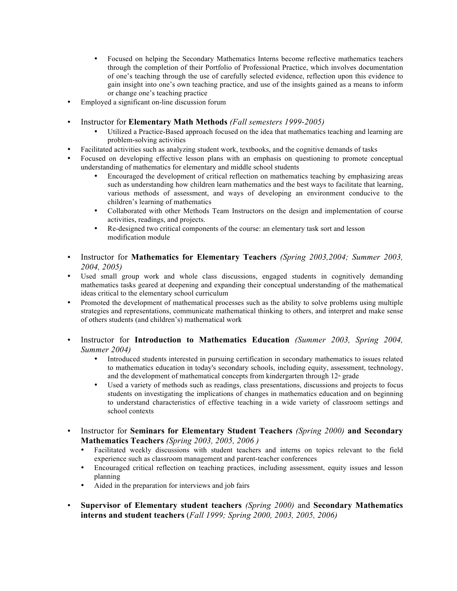- Focused on helping the Secondary Mathematics Interns become reflective mathematics teachers through the completion of their Portfolio of Professional Practice, which involves documentation of one's teaching through the use of carefully selected evidence, reflection upon this evidence to gain insight into one's own teaching practice, and use of the insights gained as a means to inform or change one's teaching practice
- Employed a significant on-line discussion forum
- Instructor for **Elementary Math Methods** *(Fall semesters 1999-2005)*
	- Utilized a Practice-Based approach focused on the idea that mathematics teaching and learning are problem-solving activities
- Facilitated activities such as analyzing student work, textbooks, and the cognitive demands of tasks
- Focused on developing effective lesson plans with an emphasis on questioning to promote conceptual understanding of mathematics for elementary and middle school students
	- Encouraged the development of critical reflection on mathematics teaching by emphasizing areas such as understanding how children learn mathematics and the best ways to facilitate that learning, various methods of assessment, and ways of developing an environment conducive to the children's learning of mathematics
	- Collaborated with other Methods Team Instructors on the design and implementation of course activities, readings, and projects.
	- Re-designed two critical components of the course: an elementary task sort and lesson modification module
- Instructor for **Mathematics for Elementary Teachers** *(Spring 2003,2004; Summer 2003, 2004, 2005)*
- Used small group work and whole class discussions, engaged students in cognitively demanding mathematics tasks geared at deepening and expanding their conceptual understanding of the mathematical ideas critical to the elementary school curriculum
- Promoted the development of mathematical processes such as the ability to solve problems using multiple strategies and representations, communicate mathematical thinking to others, and interpret and make sense of others students (and children's) mathematical work
- Instructor for **Introduction to Mathematics Education** *(Summer 2003, Spring 2004, Summer 2004)*
	- Introduced students interested in pursuing certification in secondary mathematics to issues related to mathematics education in today's secondary schools, including equity, assessment, technology, and the development of mathematical concepts from kindergarten through  $12<sup>th</sup>$  grade
	- Used a variety of methods such as readings, class presentations, discussions and projects to focus students on investigating the implications of changes in mathematics education and on beginning to understand characteristics of effective teaching in a wide variety of classroom settings and school contexts
- Instructor for **Seminars for Elementary Student Teachers** *(Spring 2000)* **and Secondary Mathematics Teachers** *(Spring 2003, 2005, 2006 )*
	- Facilitated weekly discussions with student teachers and interns on topics relevant to the field experience such as classroom management and parent-teacher conferences
	- Encouraged critical reflection on teaching practices, including assessment, equity issues and lesson planning
	- Aided in the preparation for interviews and job fairs
- **Supervisor of Elementary student teachers** *(Spring 2000)* and **Secondary Mathematics interns and student teachers** (*Fall 1999; Spring 2000, 2003, 2005, 2006)*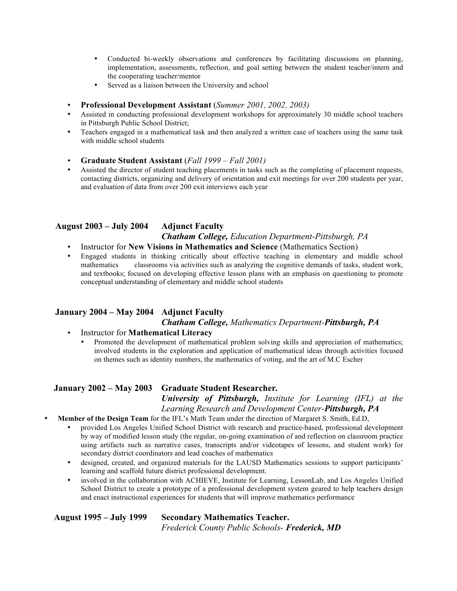- Conducted bi-weekly observations and conferences by facilitating discussions on planning, implementation, assessments, reflection, and goal setting between the student teacher/intern and the cooperating teacher/mentor
- Served as a liaison between the University and school
- **Professional Development Assistant** (*Summer 2001, 2002, 2003)*
- Assisted in conducting professional development workshops for approximately 30 middle school teachers in Pittsburgh Public School District;
- Teachers engaged in a mathematical task and then analyzed a written case of teachers using the same task with middle school students
- **Graduate Student Assistant** (*Fall 1999 – Fall 2001)*
- Assisted the director of student teaching placements in tasks such as the completing of placement requests, contacting districts, organizing and delivery of orientation and exit meetings for over 200 students per year, and evaluation of data from over 200 exit interviews each year

## **August 2003 – July 2004 Adjunct Faculty**  *Chatham College, Education Department-Pittsburgh, PA*

- Instructor for **New Visions in Mathematics and Science** (Mathematics Section)
- Engaged students in thinking critically about effective teaching in elementary and middle school mathematics classrooms via activities such as analyzing the cognitive demands of tasks, student work. classrooms via activities such as analyzing the cognitive demands of tasks, student work, and textbooks; focused on developing effective lesson plans with an emphasis on questioning to promote conceptual understanding of elementary and middle school students

## **January 2004 – May 2004 Adjunct Faculty**  *Chatham College, Mathematics Department-Pittsburgh, PA*

- Instructor for **Mathematical Literacy** 
	- Promoted the development of mathematical problem solving skills and appreciation of mathematics; involved students in the exploration and application of mathematical ideas through activities focused on themes such as identity numbers, the mathematics of voting, and the art of M.C Escher

## **January 2002 – May 2003 Graduate Student Researcher***.*

*University of Pittsburgh, Institute for Learning (IFL) at the Learning Research and Development Center-Pittsburgh, PA*

- **Member of the Design Team** for the IFL's Math Team under the direction of Margaret S. Smith, Ed.D,
	- provided Los Angeles Unified School District with research and practice-based, professional development by way of modified lesson study (the regular, on-going examination of and reflection on classroom practice using artifacts such as narrative cases, transcripts and/or videotapes of lessons, and student work) for secondary district coordinators and lead coaches of mathematics
	- designed, created, and organized materials for the LAUSD Mathematics sessions to support participants' learning and scaffold future district professional development.
	- involved in the collaboration with ACHIEVE, Institute for Learning, LessonLab, and Los Angeles Unified School District to create a prototype of a professional development system geared to help teachers design and enact instructional experiences for students that will improve mathematics performance

**August 1995 – July 1999 Secondary Mathematics Teacher.**  *Frederick County Public Schools- Frederick, MD*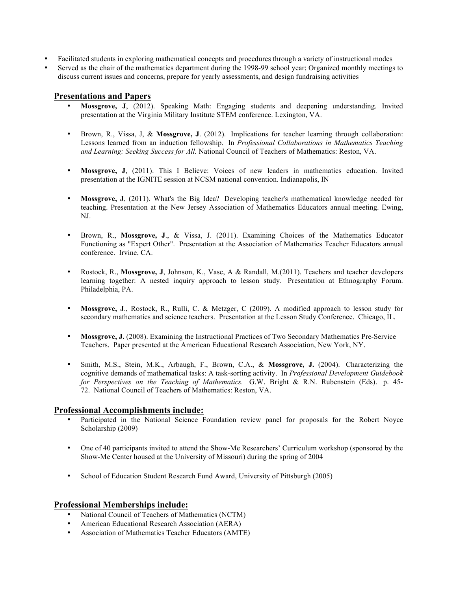- Facilitated students in exploring mathematical concepts and procedures through a variety of instructional modes
- Served as the chair of the mathematics department during the 1998-99 school year; Organized monthly meetings to discuss current issues and concerns, prepare for yearly assessments, and design fundraising activities

#### **Presentations and Papers**

- **Mossgrove, J**, (2012). Speaking Math: Engaging students and deepening understanding. Invited presentation at the Virginia Military Institute STEM conference. Lexington, VA.
- Brown, R., Vissa, J, & **Mossgrove, J**. (2012). Implications for teacher learning through collaboration: Lessons learned from an induction fellowship. In *Professional Collaborations in Mathematics Teaching and Learning: Seeking Success for All.* National Council of Teachers of Mathematics: Reston, VA.
- **Mossgrove, J**, (2011). This I Believe: Voices of new leaders in mathematics education. Invited presentation at the IGNITE session at NCSM national convention. Indianapolis, IN
- **Mossgrove, J**, (2011). What's the Big Idea? Developing teacher's mathematical knowledge needed for teaching. Presentation at the New Jersey Association of Mathematics Educators annual meeting. Ewing, NJ.
- Brown, R., **Mossgrove, J**., & Vissa, J. (2011). Examining Choices of the Mathematics Educator Functioning as "Expert Other". Presentation at the Association of Mathematics Teacher Educators annual conference. Irvine, CA.
- Rostock, R., **Mossgrove, J**, Johnson, K., Vase, A & Randall, M.(2011). Teachers and teacher developers learning together: A nested inquiry approach to lesson study. Presentation at Ethnography Forum. Philadelphia, PA.
- **Mossgrove, J**., Rostock, R., Rulli, C. & Metzger, C (2009). A modified approach to lesson study for secondary mathematics and science teachers. Presentation at the Lesson Study Conference. Chicago, IL.
- **Mossgrove, J.** (2008). Examining the Instructional Practices of Two Secondary Mathematics Pre-Service Teachers. Paper presented at the American Educational Research Association, New York, NY.
- Smith, M.S., Stein, M.K., Arbaugh, F., Brown, C.A., & **Mossgrove, J.** (2004). Characterizing the cognitive demands of mathematical tasks: A task-sorting activity. In *Professional Development Guidebook for Perspectives on the Teaching of Mathematics.* G.W. Bright & R.N. Rubenstein (Eds). p. 45- 72. National Council of Teachers of Mathematics: Reston, VA.

#### **Professional Accomplishments include:**

- Participated in the National Science Foundation review panel for proposals for the Robert Noyce Scholarship (2009)
- One of 40 participants invited to attend the Show-Me Researchers' Curriculum workshop (sponsored by the Show-Me Center housed at the University of Missouri) during the spring of 2004
- School of Education Student Research Fund Award, University of Pittsburgh (2005)

#### **Professional Memberships include:**

- National Council of Teachers of Mathematics (NCTM)
- American Educational Research Association (AERA)
- Association of Mathematics Teacher Educators (AMTE)